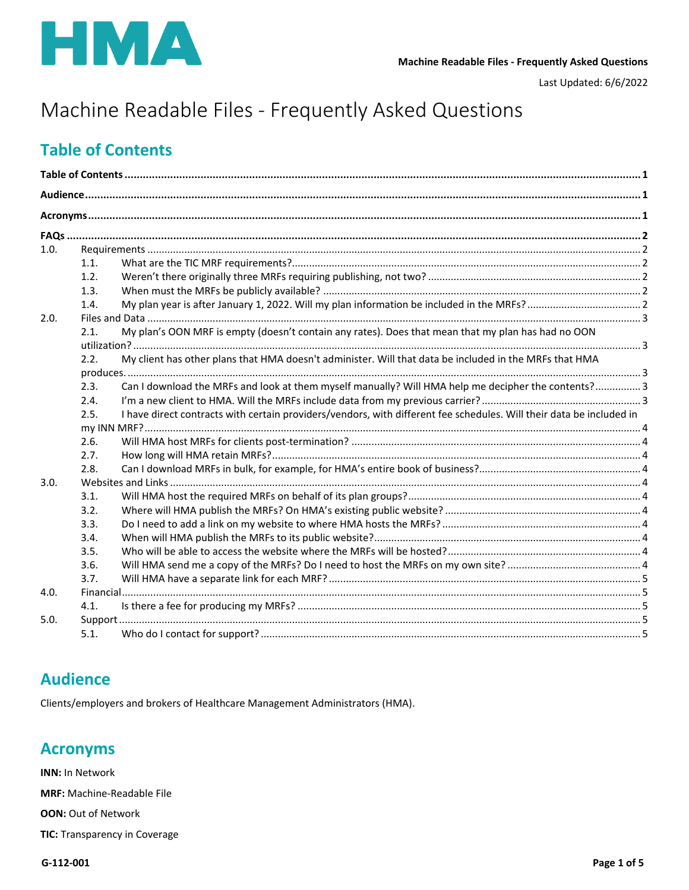

Last Updated: 6/6/2022

# Machine Readable Files - Frequently Asked Questions

## <span id="page-0-0"></span>**Table of Contents**

| 1.0. |                                                                                                            |                                                                                                                              |  |  |  |
|------|------------------------------------------------------------------------------------------------------------|------------------------------------------------------------------------------------------------------------------------------|--|--|--|
|      | 1.1.                                                                                                       |                                                                                                                              |  |  |  |
|      | 1.2.                                                                                                       |                                                                                                                              |  |  |  |
|      | 1.3.                                                                                                       |                                                                                                                              |  |  |  |
|      | 1.4.                                                                                                       |                                                                                                                              |  |  |  |
| 2.0. |                                                                                                            |                                                                                                                              |  |  |  |
|      | My plan's OON MRF is empty (doesn't contain any rates). Does that mean that my plan has had no OON<br>2.1. |                                                                                                                              |  |  |  |
|      |                                                                                                            |                                                                                                                              |  |  |  |
|      | 2.2.                                                                                                       | My client has other plans that HMA doesn't administer. Will that data be included in the MRFs that HMA                       |  |  |  |
|      |                                                                                                            |                                                                                                                              |  |  |  |
|      | 2.3.                                                                                                       | Can I download the MRFs and look at them myself manually? Will HMA help me decipher the contents?3                           |  |  |  |
|      | 2.4.                                                                                                       |                                                                                                                              |  |  |  |
|      |                                                                                                            | I have direct contracts with certain providers/vendors, with different fee schedules. Will their data be included in<br>2.5. |  |  |  |
|      |                                                                                                            |                                                                                                                              |  |  |  |
|      | 2.6.<br>2.7.                                                                                               |                                                                                                                              |  |  |  |
|      | 2.8.                                                                                                       |                                                                                                                              |  |  |  |
| 3.0. |                                                                                                            |                                                                                                                              |  |  |  |
|      | 3.1.                                                                                                       |                                                                                                                              |  |  |  |
|      | 3.2.                                                                                                       |                                                                                                                              |  |  |  |
|      | 3.3.                                                                                                       |                                                                                                                              |  |  |  |
|      | 3.4.                                                                                                       |                                                                                                                              |  |  |  |
|      | 3.5.                                                                                                       |                                                                                                                              |  |  |  |
|      | 3.6.                                                                                                       |                                                                                                                              |  |  |  |
|      | 3.7.                                                                                                       |                                                                                                                              |  |  |  |
| 4.0. | Financial                                                                                                  |                                                                                                                              |  |  |  |
|      | 4.1.                                                                                                       |                                                                                                                              |  |  |  |
| 5.0. |                                                                                                            |                                                                                                                              |  |  |  |
|      | 5.1.                                                                                                       |                                                                                                                              |  |  |  |

## <span id="page-0-1"></span>**Audience**

Clients/employers and brokers of Healthcare Management Administrators (HMA).

## <span id="page-0-2"></span>**Acronyms**

**INN: In Network** 

**MRF:** Machine-Readable File

**OON: Out of Network** 

TIC: Transparency in Coverage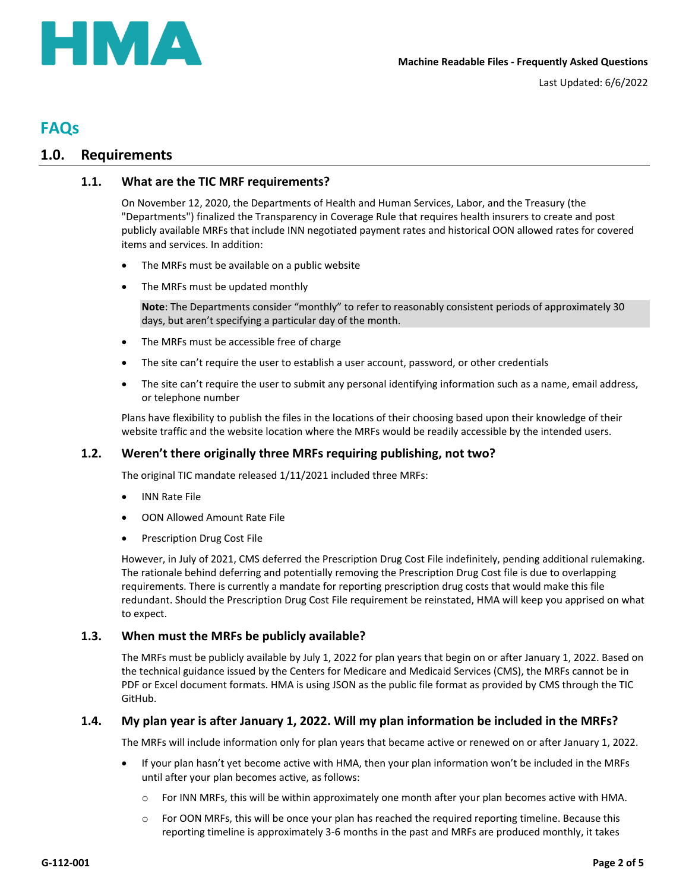

## <span id="page-1-0"></span>**FAQs**

## <span id="page-1-2"></span><span id="page-1-1"></span>**1.0. Requirements**

### **1.1. What are the TIC MRF requirements?**

On November 12, 2020, the Departments of Health and Human Services, Labor, and the Treasury (the "Departments") finalized the Transparency in Coverage Rule that requires health insurers to create and post publicly available MRFs that include INN negotiated payment rates and historical OON allowed rates for covered items and services. In addition:

- The MRFs must be available on a public website
- The MRFs must be updated monthly

**Note**: The Departments consider "monthly" to refer to reasonably consistent periods of approximately 30 days, but aren't specifying a particular day of the month.

- The MRFs must be accessible free of charge
- The site can't require the user to establish a user account, password, or other credentials
- The site can't require the user to submit any personal identifying information such as a name, email address, or telephone number

Plans have flexibility to publish the files in the locations of their choosing based upon their knowledge of their website traffic and the website location where the MRFs would be readily accessible by the intended users.

## <span id="page-1-3"></span>**1.2. Weren't there originally three MRFs requiring publishing, not two?**

The original TIC mandate released 1/11/2021 included three MRFs:

- INN Rate File
- OON Allowed Amount Rate File
- **•** Prescription Drug Cost File

However, in July of 2021, CMS deferred the Prescription Drug Cost File indefinitely, pending additional rulemaking. The rationale behind deferring and potentially removing the Prescription Drug Cost file is due to overlapping requirements. There is currently a mandate for reporting prescription drug costs that would make this file redundant. Should the Prescription Drug Cost File requirement be reinstated, HMA will keep you apprised on what to expect.

#### <span id="page-1-4"></span>**1.3. When must the MRFs be publicly available?**

The MRFs must be publicly available by July 1, 2022 for plan years that begin on or after January 1, 2022. Based on the technical guidance issued by the Centers for Medicare and Medicaid Services (CMS), the MRFs cannot be in PDF or Excel document formats. HMA is using JSON as the public file format as provided by CMS through the TIC GitHub.

#### <span id="page-1-5"></span>**1.4. My plan year is after January 1, 2022. Will my plan information be included in the MRFs?**

The MRFs will include information only for plan years that became active or renewed on or after January 1, 2022.

- If your plan hasn't yet become active with HMA, then your plan information won't be included in the MRFs until after your plan becomes active, as follows:
	- o For INN MRFs, this will be within approximately one month after your plan becomes active with HMA.
	- $\circ$  For OON MRFs, this will be once your plan has reached the required reporting timeline. Because this reporting timeline is approximately 3-6 months in the past and MRFs are produced monthly, it takes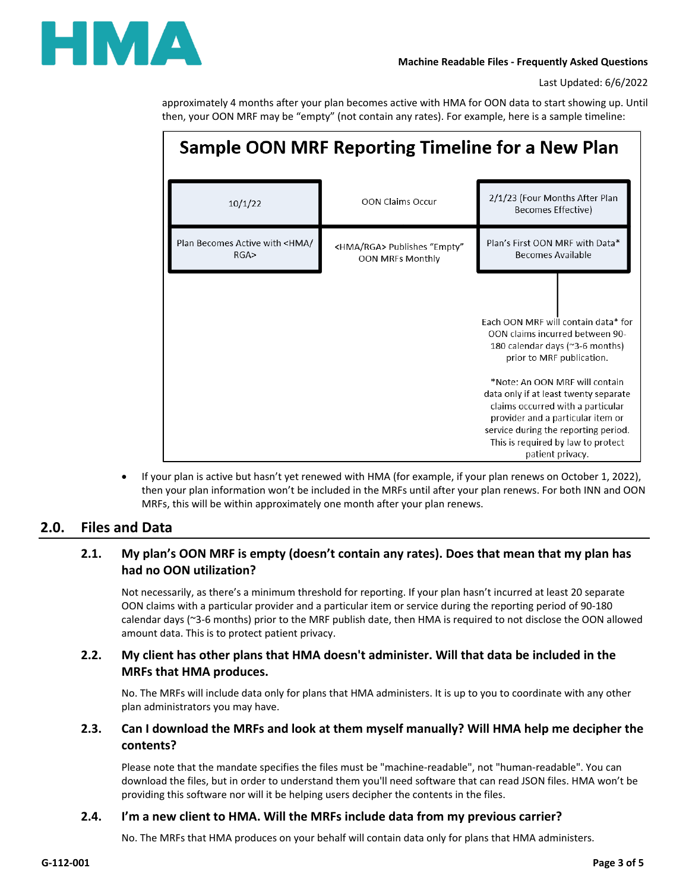

approximately 4 months after your plan becomes active with HMA for OON data to start showing up. Until then, your OON MRF may be "empty" (not contain any rates). For example, here is a sample timeline:

| Sample OON MRF Reporting Timeline for a New Plan |                                                                  |                                                                                                                                                                                                                                                                                                                                                                                               |  |  |  |
|--------------------------------------------------|------------------------------------------------------------------|-----------------------------------------------------------------------------------------------------------------------------------------------------------------------------------------------------------------------------------------------------------------------------------------------------------------------------------------------------------------------------------------------|--|--|--|
| 10/1/22                                          | <b>OON Claims Occur</b>                                          | 2/1/23 (Four Months After Plan<br>Becomes Effective)                                                                                                                                                                                                                                                                                                                                          |  |  |  |
| Plan Becomes Active with <hma <br="">RGA</hma>   | <hma rga=""> Publishes "Empty"<br/><b>OON MRFs Monthly</b></hma> | Plan's First OON MRF with Data*<br>Becomes Available                                                                                                                                                                                                                                                                                                                                          |  |  |  |
|                                                  |                                                                  | Fach OON MRF will contain data* for<br>OON claims incurred between 90-<br>180 calendar days (~3-6 months)<br>prior to MRF publication.<br>*Note: An OON MRF will contain<br>data only if at least twenty separate<br>claims occurred with a particular<br>provider and a particular item or<br>service during the reporting period.<br>This is required by law to protect<br>patient privacy. |  |  |  |

 If your plan is active but hasn't yet renewed with HMA (for example, if your plan renews on October 1, 2022), then your plan information won't be included in the MRFs until after your plan renews. For both INN and OON MRFs, this will be within approximately one month after your plan renews.

## <span id="page-2-1"></span><span id="page-2-0"></span>**2.0. Files and Data**

## **2.1. My plan's OON MRF is empty (doesn't contain any rates). Does that mean that my plan has had no OON utilization?**

Not necessarily, as there's a minimum threshold for reporting. If your plan hasn't incurred at least 20 separate OON claims with a particular provider and a particular item or service during the reporting period of 90-180 calendar days (~3-6 months) prior to the MRF publish date, then HMA is required to not disclose the OON allowed amount data. This is to protect patient privacy.

## <span id="page-2-2"></span>**2.2. My client has other plans that HMA doesn't administer. Will that data be included in the MRFs that HMA produces.**

No. The MRFs will include data only for plans that HMA administers. It is up to you to coordinate with any other plan administrators you may have.

## <span id="page-2-3"></span>**2.3. Can I download the MRFs and look at them myself manually? Will HMA help me decipher the contents?**

Please note that the mandate specifies the files must be "machine-readable", not "human-readable". You can download the files, but in order to understand them you'll need software that can read JSON files. HMA won't be providing this software nor will it be helping users decipher the contents in the files.

## <span id="page-2-4"></span>**2.4. I'm a new client to HMA. Will the MRFs include data from my previous carrier?**

No. The MRFs that HMA produces on your behalf will contain data only for plans that HMA administers.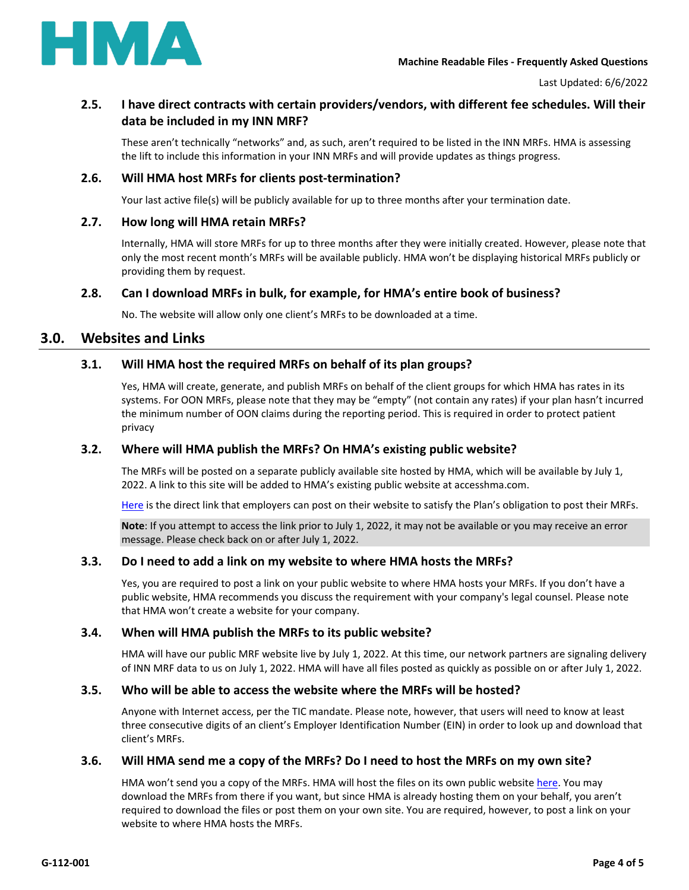

## <span id="page-3-0"></span>**2.5. I have direct contracts with certain providers/vendors, with different fee schedules. Will their data be included in my INN MRF?**

These aren't technically "networks" and, as such, aren't required to be listed in the INN MRFs. HMA is assessing the lift to include this information in your INN MRFs and will provide updates as things progress.

#### <span id="page-3-1"></span>**2.6. Will HMA host MRFs for clients post-termination?**

Your last active file(s) will be publicly available for up to three months after your termination date.

#### <span id="page-3-2"></span>**2.7. How long will HMA retain MRFs?**

Internally, HMA will store MRFs for up to three months after they were initially created. However, please note that only the most recent month's MRFs will be available publicly. HMA won't be displaying historical MRFs publicly or providing them by request.

#### <span id="page-3-3"></span>**2.8. Can I download MRFs in bulk, for example, for HMA's entire book of business?**

No. The website will allow only one client's MRFs to be downloaded at a time.

### <span id="page-3-5"></span><span id="page-3-4"></span>**3.0. Websites and Links**

#### **3.1. Will HMA host the required MRFs on behalf of its plan groups?**

Yes, HMA will create, generate, and publish MRFs on behalf of the client groups for which HMA has rates in its systems. For OON MRFs, please note that they may be "empty" (not contain any rates) if your plan hasn't incurred the minimum number of OON claims during the reporting period. This is required in order to protect patient privacy

#### <span id="page-3-6"></span>**3.2. Where will HMA publish the MRFs? On HMA's existing public website?**

The MRFs will be posted on a separate publicly available site hosted by HMA, which will be available by July 1, 2022. A link to this site will be added to HMA's existing public website at accesshma.com.

[Here](https://sawus2prdticmrfhma.z5.web.core.windows.net/) is the direct link that employers can post on their website to satisfy the Plan's obligation to post their MRFs.

**Note**: If you attempt to access the link prior to July 1, 2022, it may not be available or you may receive an error message. Please check back on or after July 1, 2022.

#### <span id="page-3-7"></span>**3.3. Do I need to add a link on my website to where HMA hosts the MRFs?**

Yes, you are required to post a link on your public website to where HMA hosts your MRFs. If you don't have a public website, HMA recommends you discuss the requirement with your company's legal counsel. Please note that HMA won't create a website for your company.

#### <span id="page-3-8"></span>**3.4. When will HMA publish the MRFs to its public website?**

HMA will have our public MRF website live by July 1, 2022. At this time, our network partners are signaling delivery of INN MRF data to us on July 1, 2022. HMA will have all files posted as quickly as possible on or after July 1, 2022.

#### <span id="page-3-9"></span>**3.5. Who will be able to access the website where the MRFs will be hosted?**

Anyone with Internet access, per the TIC mandate. Please note, however, that users will need to know at least three consecutive digits of an client's Employer Identification Number (EIN) in order to look up and download that client's MRFs.

#### <span id="page-3-10"></span>**3.6. Will HMA send me a copy of the MRFs? Do I need to host the MRFs on my own site?**

HMA won't send you a copy of the MRFs. HMA will host the files on its own public website [here.](https://sawus2prdticmrfhma.z5.web.core.windows.net/) You may download the MRFs from there if you want, but since HMA is already hosting them on your behalf, you aren't required to download the files or post them on your own site. You are required, however, to post a link on your website to where HMA hosts the MRFs.